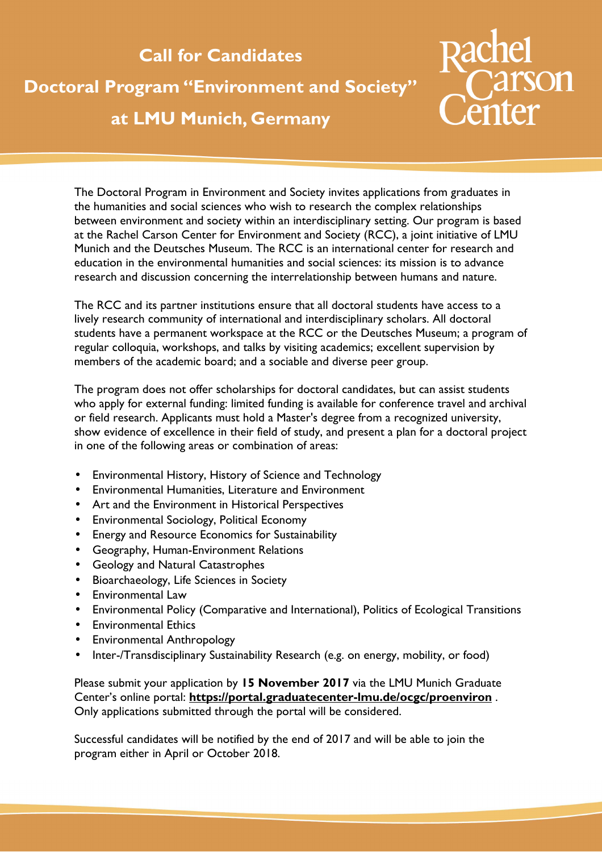## **Call for Candidates**

## **Doctoral Program "Environment and Society" at LMU Munich, Germany**



The Doctoral Program in Environment and Society invites applications from graduates in the humanities and social sciences who wish to research the complex relationships between environment and society within an interdisciplinary setting. Our program is based at the Rachel Carson Center for Environment and Society (RCC), a joint initiative of LMU Munich and the Deutsches Museum. The RCC is an international center for research and education in the environmental humanities and social sciences: its mission is to advance research and discussion concerning the interrelationship between humans and nature.

The RCC and its partner institutions ensure that all doctoral students have access to a lively research community of international and interdisciplinary scholars. All doctoral students have a permanent workspace at the RCC or the Deutsches Museum; a program of regular colloquia, workshops, and talks by visiting academics; excellent supervision by members of the academic board; and a sociable and diverse peer group.

The program does not offer scholarships for doctoral candidates, but can assist students who apply for external funding: limited funding is available for conference travel and archival or field research. Applicants must hold a Master's degree from a recognized university, show evidence of excellence in their field of study, and present a plan for a doctoral project in one of the following areas or combination of areas:

- Environmental History, History of Science and Technology
- Environmental Humanities, Literature and Environment
- Art and the Environment in Historical Perspectives
- Environmental Sociology, Political Economy
- Energy and Resource Economics for Sustainability
- Geography, Human-Environment Relations
- Geology and Natural Catastrophes
- Bioarchaeology, Life Sciences in Society
- Environmental Law
- Environmental Policy (Comparative and International), Politics of Ecological Transitions
- Environmental Ethics
- Environmental Anthropology
- Inter-/Transdisciplinary Sustainability Research (e.g. on energy, mobility, or food)

Please submit your application by **15 November 2017** via the LMU Munich Graduate Center's online portal: **https://portal.graduatecenter-lmu.de/ocgc/proenviron** . Only applications submitted through the portal will be considered.

Successful candidates will be notified by the end of 2017 and will be able to join the program either in April or October 2018.